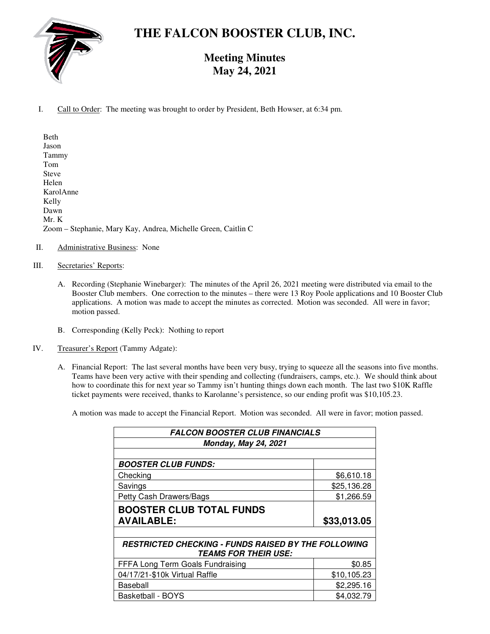

# **THE FALCON BOOSTER CLUB, INC.**

# **Meeting Minutes May 24, 2021**

I. Call to Order: The meeting was brought to order by President, Beth Howser, at 6:34 pm.

Beth Jason Tammy Tom Steve Helen KarolAnne Kelly Dawn Mr. K Zoom – Stephanie, Mary Kay, Andrea, Michelle Green, Caitlin C

- II. Administrative Business: None
- III. Secretaries' Reports:
	- A. Recording (Stephanie Winebarger): The minutes of the April 26, 2021 meeting were distributed via email to the Booster Club members. One correction to the minutes – there were 13 Roy Poole applications and 10 Booster Club applications. A motion was made to accept the minutes as corrected. Motion was seconded. All were in favor; motion passed.
	- B. Corresponding (Kelly Peck): Nothing to report
- IV. Treasurer's Report (Tammy Adgate):
	- A. Financial Report: The last several months have been very busy, trying to squeeze all the seasons into five months. Teams have been very active with their spending and collecting (fundraisers, camps, etc.). We should think about how to coordinate this for next year so Tammy isn't hunting things down each month. The last two \$10K Raffle ticket payments were received, thanks to Karolanne's persistence, so our ending profit was \$10,105.23.

A motion was made to accept the Financial Report. Motion was seconded. All were in favor; motion passed.

| <b>FALCON BOOSTER CLUB FINANCIALS</b><br><b>Monday, May 24, 2021</b>                             |             |
|--------------------------------------------------------------------------------------------------|-------------|
|                                                                                                  |             |
| <b>BOOSTER CLUB FUNDS:</b>                                                                       |             |
| Checking                                                                                         | \$6,610.18  |
| Savings                                                                                          | \$25,136.28 |
| Petty Cash Drawers/Bags                                                                          | \$1,266.59  |
| <b>BOOSTER CLUB TOTAL FUNDS</b>                                                                  |             |
| <b>AVAILABLE:</b>                                                                                | \$33,013.05 |
|                                                                                                  |             |
| <b>RESTRICTED CHECKING - FUNDS RAISED BY THE FOLLOWING</b><br><i><b>TEAMS FOR THEIR USE:</b></i> |             |
| FFFA Long Term Goals Fundraising                                                                 | \$0.85      |
|                                                                                                  |             |
| 04/17/21-\$10k Virtual Raffle                                                                    | \$10,105.23 |
| Baseball                                                                                         | \$2,295.16  |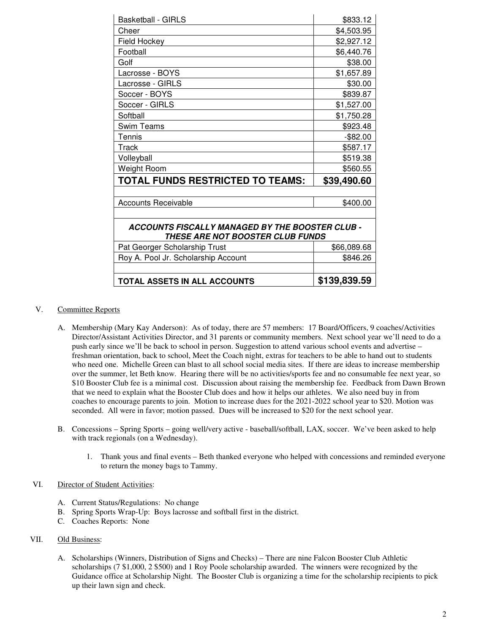| <b>Basketball - GIRLS</b>                                                                  | \$833.12     |  |
|--------------------------------------------------------------------------------------------|--------------|--|
| Cheer                                                                                      | \$4,503.95   |  |
| Field Hockey                                                                               | \$2,927.12   |  |
| Football                                                                                   | \$6,440.76   |  |
| Golf                                                                                       | \$38.00      |  |
| Lacrosse - BOYS                                                                            | \$1,657.89   |  |
| Lacrosse - GIRLS                                                                           | \$30.00      |  |
| Soccer - BOYS                                                                              | \$839.87     |  |
| Soccer - GIRLS                                                                             | \$1,527.00   |  |
| Softball                                                                                   | \$1,750.28   |  |
| Swim Teams                                                                                 | \$923.48     |  |
| Tennis                                                                                     | $-$ \$82.00  |  |
| Track                                                                                      | \$587.17     |  |
| Volleyball                                                                                 | \$519.38     |  |
| Weight Room                                                                                | \$560.55     |  |
| TOTAL FUNDS RESTRICTED TO TEAMS:                                                           | \$39,490.60  |  |
|                                                                                            |              |  |
| <b>Accounts Receivable</b>                                                                 | \$400.00     |  |
|                                                                                            |              |  |
| <b>ACCOUNTS FISCALLY MANAGED BY THE BOOSTER CLUB -</b><br>THESE ARE NOT BOOSTER CLUB FUNDS |              |  |
| Pat Georger Scholarship Trust                                                              | \$66,089.68  |  |
| Roy A. Pool Jr. Scholarship Account                                                        | \$846.26     |  |
|                                                                                            |              |  |
| TOTAL ASSETS IN ALL ACCOUNTS                                                               | \$139,839.59 |  |

## V. Committee Reports

- A. Membership (Mary Kay Anderson): As of today, there are 57 members: 17 Board/Officers, 9 coaches/Activities Director/Assistant Activities Director, and 31 parents or community members. Next school year we'll need to do a push early since we'll be back to school in person. Suggestion to attend various school events and advertise – freshman orientation, back to school, Meet the Coach night, extras for teachers to be able to hand out to students who need one. Michelle Green can blast to all school social media sites. If there are ideas to increase membership over the summer, let Beth know. Hearing there will be no activities/sports fee and no consumable fee next year, so \$10 Booster Club fee is a minimal cost. Discussion about raising the membership fee. Feedback from Dawn Brown that we need to explain what the Booster Club does and how it helps our athletes. We also need buy in from coaches to encourage parents to join. Motion to increase dues for the 2021-2022 school year to \$20. Motion was seconded. All were in favor; motion passed. Dues will be increased to \$20 for the next school year.
- B. Concessions Spring Sports going well/very active baseball/softball, LAX, soccer. We've been asked to help with track regionals (on a Wednesday).
	- 1. Thank yous and final events Beth thanked everyone who helped with concessions and reminded everyone to return the money bags to Tammy.

#### VI. Director of Student Activities:

- A. Current Status/Regulations: No change
- B. Spring Sports Wrap-Up: Boys lacrosse and softball first in the district.
- C. Coaches Reports: None
- VII. Old Business:
	- A. Scholarships (Winners, Distribution of Signs and Checks) There are nine Falcon Booster Club Athletic scholarships (7 \$1,000, 2 \$500) and 1 Roy Poole scholarship awarded. The winners were recognized by the Guidance office at Scholarship Night. The Booster Club is organizing a time for the scholarship recipients to pick up their lawn sign and check.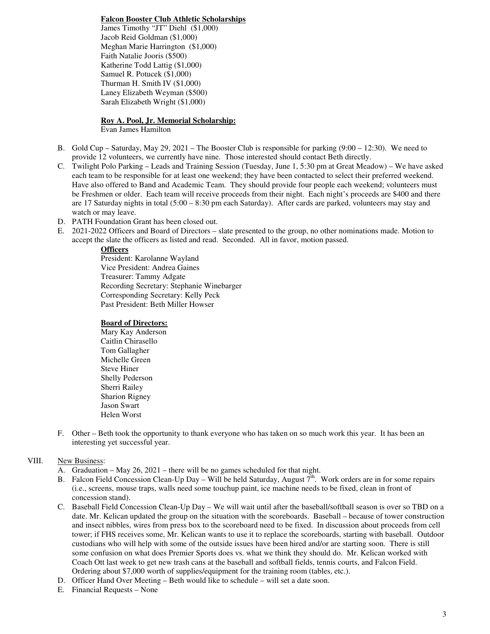#### **Falcon Booster Club Athletic Scholarships**

James Timothy "JT" Diehl (\$1,000) Jacob Reid Goldman (\$1,000) Meghan Marie Harrington (\$1,000) Faith Natalie Jooris (\$500) Katherine Todd Lattig (\$1,000) Samuel R. Potucek (\$1,000) Thurman H. Smith IV (\$1,000) Laney Elizabeth Weyman (\$500) Sarah Elizabeth Wright (\$1,000)

#### **Roy A. Pool, Jr. Memorial Scholarship:** Evan James Hamilton

- B. Gold Cup Saturday, May 29, 2021 The Booster Club is responsible for parking (9:00 12:30). We need to provide 12 volunteers, we currently have nine. Those interested should contact Beth directly.
- C. Twilight Polo Parking Leads and Training Session (Tuesday, June 1, 5:30 pm at Great Meadow) We have asked each team to be responsible for at least one weekend; they have been contacted to select their preferred weekend. Have also offered to Band and Academic Team. They should provide four people each weekend; volunteers must be Freshmen or older. Each team will receive proceeds from their night. Each night's proceeds are \$400 and there are 17 Saturday nights in total (5:00 – 8:30 pm each Saturday). After cards are parked, volunteers may stay and watch or may leave.
- D. PATH Foundation Grant has been closed out.
- E. 2021-2022 Officers and Board of Directors slate presented to the group, no other nominations made. Motion to accept the slate the officers as listed and read. Seconded. All in favor, motion passed.

## **Officers**

President: Karolanne Wayland Vice President: Andrea Gaines Treasurer: Tammy Adgate Recording Secretary: Stephanie Winebarger Corresponding Secretary: Kelly Peck Past President: Beth Miller Howser

#### **Board of Directors:**

- Mary Kay Anderson Caitlin Chirasello Tom Gallagher Michelle Green Steve Hiner Shelly Pederson Sherri Railey Sharion Rigney Jason Swart Helen Worst
- F. Other Beth took the opportunity to thank everyone who has taken on so much work this year. It has been an interesting yet successful year.

## VIII. New Business:

- A. Graduation May 26, 2021 there will be no games scheduled for that night.
- B. Falcon Field Concession Clean-Up Day Will be held Saturday, August  $7<sup>th</sup>$ . Work orders are in for some repairs (i.e., screens, mouse traps, walls need some touchup paint, ice machine needs to be fixed, clean in front of concession stand).
- C. Baseball Field Concession Clean-Up Day We will wait until after the baseball/softball season is over so TBD on a date. Mr. Kelican updated the group on the situation with the scoreboards. Baseball – because of tower construction and insect nibbles, wires from press box to the scoreboard need to be fixed. In discussion about proceeds from cell tower; if FHS receives some, Mr. Kelican wants to use it to replace the scoreboards, starting with baseball. Outdoor custodians who will help with some of the outside issues have been hired and/or are starting soon. There is still some confusion on what does Premier Sports does vs. what we think they should do. Mr. Kelican worked with Coach Ott last week to get new trash cans at the baseball and softball fields, tennis courts, and Falcon Field. Ordering about \$7,000 worth of supplies/equipment for the training room (tables, etc.).
- D. Officer Hand Over Meeting Beth would like to schedule will set a date soon.
- E. Financial Requests None